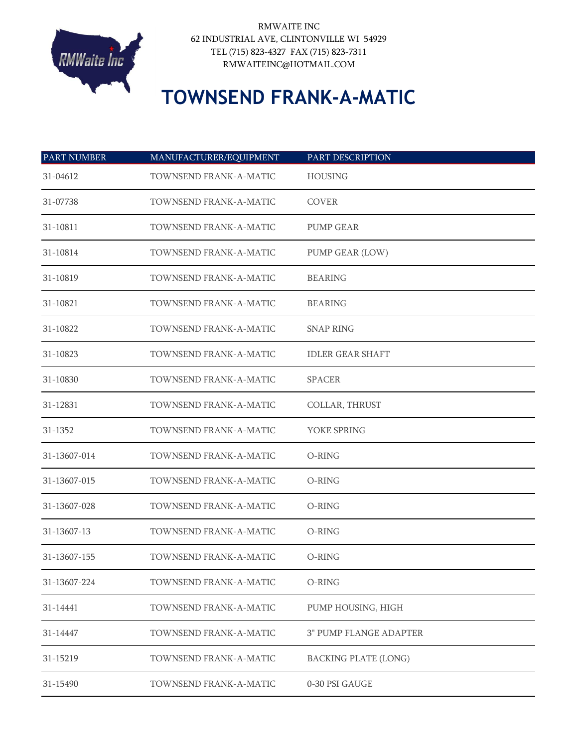

RMWAITE INC 62 INDUSTRIAL AVE, CLINTONVILLE WI 54929 TEL (715) 823-4327 FAX (715) 823-7311 RMWAITEINC@HOTMAIL.COM

## **TOWNSEND FRANK-A-MATIC**

| <b>PART NUMBER</b> | MANUFACTURER/EQUIPMENT | PART DESCRIPTION              |
|--------------------|------------------------|-------------------------------|
| 31-04612           | TOWNSEND FRANK-A-MATIC | <b>HOUSING</b>                |
| 31-07738           | TOWNSEND FRANK-A-MATIC | <b>COVER</b>                  |
| 31-10811           | TOWNSEND FRANK-A-MATIC | <b>PUMP GEAR</b>              |
| 31-10814           | TOWNSEND FRANK-A-MATIC | PUMP GEAR (LOW)               |
| 31-10819           | TOWNSEND FRANK-A-MATIC | <b>BEARING</b>                |
| 31-10821           | TOWNSEND FRANK-A-MATIC | <b>BEARING</b>                |
| 31-10822           | TOWNSEND FRANK-A-MATIC | <b>SNAP RING</b>              |
| 31-10823           | TOWNSEND FRANK-A-MATIC | <b>IDLER GEAR SHAFT</b>       |
| 31-10830           | TOWNSEND FRANK-A-MATIC | <b>SPACER</b>                 |
| 31-12831           | TOWNSEND FRANK-A-MATIC | COLLAR, THRUST                |
| 31-1352            | TOWNSEND FRANK-A-MATIC | YOKE SPRING                   |
| 31-13607-014       | TOWNSEND FRANK-A-MATIC | O-RING                        |
| 31-13607-015       | TOWNSEND FRANK-A-MATIC | O-RING                        |
| 31-13607-028       | TOWNSEND FRANK-A-MATIC | O-RING                        |
| 31-13607-13        | TOWNSEND FRANK-A-MATIC | O-RING                        |
| 31-13607-155       | TOWNSEND FRANK-A-MATIC | O-RING                        |
| 31-13607-224       | TOWNSEND FRANK-A-MATIC | O-RING                        |
| 31-14441           | TOWNSEND FRANK-A-MATIC | PUMP HOUSING, HIGH            |
| 31-14447           | TOWNSEND FRANK-A-MATIC | <b>3" PUMP FLANGE ADAPTER</b> |
| 31-15219           | TOWNSEND FRANK-A-MATIC | <b>BACKING PLATE (LONG)</b>   |
| 31-15490           | TOWNSEND FRANK-A-MATIC | 0-30 PSI GAUGE                |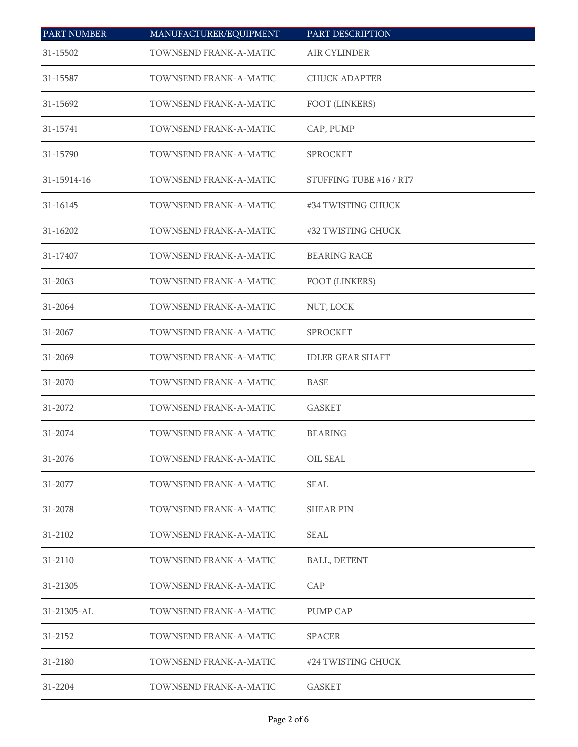| <b>PART NUMBER</b> | MANUFACTURER/EQUIPMENT | PART DESCRIPTION        |
|--------------------|------------------------|-------------------------|
| 31-15502           | TOWNSEND FRANK-A-MATIC | AIR CYLINDER            |
| 31-15587           | TOWNSEND FRANK-A-MATIC | <b>CHUCK ADAPTER</b>    |
| 31-15692           | TOWNSEND FRANK-A-MATIC | FOOT (LINKERS)          |
| 31-15741           | TOWNSEND FRANK-A-MATIC | CAP, PUMP               |
| 31-15790           | TOWNSEND FRANK-A-MATIC | SPROCKET                |
| 31-15914-16        | TOWNSEND FRANK-A-MATIC | STUFFING TUBE #16 / RT7 |
| 31-16145           | TOWNSEND FRANK-A-MATIC | #34 TWISTING CHUCK      |
| 31-16202           | TOWNSEND FRANK-A-MATIC | #32 TWISTING CHUCK      |
| 31-17407           | TOWNSEND FRANK-A-MATIC | <b>BEARING RACE</b>     |
| 31-2063            | TOWNSEND FRANK-A-MATIC | FOOT (LINKERS)          |
| 31-2064            | TOWNSEND FRANK-A-MATIC | NUT, LOCK               |
| 31-2067            | TOWNSEND FRANK-A-MATIC | SPROCKET                |
| 31-2069            | TOWNSEND FRANK-A-MATIC | <b>IDLER GEAR SHAFT</b> |
| 31-2070            | TOWNSEND FRANK-A-MATIC | <b>BASE</b>             |
| 31-2072            | TOWNSEND FRANK-A-MATIC | <b>GASKET</b>           |
| 31-2074            | TOWNSEND FRANK-A-MATIC | <b>BEARING</b>          |
| 31-2076            | TOWNSEND FRANK-A-MATIC | OIL SEAL                |
| 31-2077            | TOWNSEND FRANK-A-MATIC | <b>SEAL</b>             |
| 31-2078            | TOWNSEND FRANK-A-MATIC | <b>SHEAR PIN</b>        |
| 31-2102            | TOWNSEND FRANK-A-MATIC | <b>SEAL</b>             |
| 31-2110            | TOWNSEND FRANK-A-MATIC | <b>BALL, DETENT</b>     |
| 31-21305           | TOWNSEND FRANK-A-MATIC | CAP                     |
| 31-21305-AL        | TOWNSEND FRANK-A-MATIC | PUMP CAP                |
| 31-2152            | TOWNSEND FRANK-A-MATIC | <b>SPACER</b>           |
| 31-2180            | TOWNSEND FRANK-A-MATIC | #24 TWISTING CHUCK      |
| 31-2204            | TOWNSEND FRANK-A-MATIC | <b>GASKET</b>           |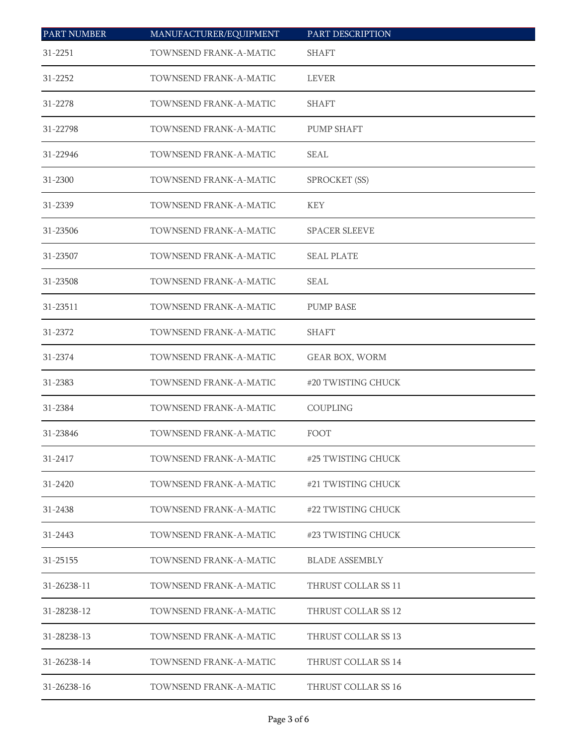| <b>PART NUMBER</b> | MANUFACTURER/EQUIPMENT | PART DESCRIPTION      |
|--------------------|------------------------|-----------------------|
| 31-2251            | TOWNSEND FRANK-A-MATIC | <b>SHAFT</b>          |
| 31-2252            | TOWNSEND FRANK-A-MATIC | LEVER                 |
| 31-2278            | TOWNSEND FRANK-A-MATIC | <b>SHAFT</b>          |
| 31-22798           | TOWNSEND FRANK-A-MATIC | <b>PUMP SHAFT</b>     |
| 31-22946           | TOWNSEND FRANK-A-MATIC | <b>SEAL</b>           |
| 31-2300            | TOWNSEND FRANK-A-MATIC | SPROCKET (SS)         |
| 31-2339            | TOWNSEND FRANK-A-MATIC | <b>KEY</b>            |
| 31-23506           | TOWNSEND FRANK-A-MATIC | <b>SPACER SLEEVE</b>  |
| 31-23507           | TOWNSEND FRANK-A-MATIC | <b>SEAL PLATE</b>     |
| 31-23508           | TOWNSEND FRANK-A-MATIC | SEAL                  |
| 31-23511           | TOWNSEND FRANK-A-MATIC | <b>PUMP BASE</b>      |
| 31-2372            | TOWNSEND FRANK-A-MATIC | <b>SHAFT</b>          |
| 31-2374            | TOWNSEND FRANK-A-MATIC | GEAR BOX, WORM        |
| 31-2383            | TOWNSEND FRANK-A-MATIC | #20 TWISTING CHUCK    |
| 31-2384            | TOWNSEND FRANK-A-MATIC | <b>COUPLING</b>       |
| 31-23846           | TOWNSEND FRANK-A-MATIC | FOOT                  |
| 31-2417            | TOWNSEND FRANK-A-MATIC | #25 TWISTING CHUCK    |
| 31-2420            | TOWNSEND FRANK-A-MATIC | #21 TWISTING CHUCK    |
| 31-2438            | TOWNSEND FRANK-A-MATIC | #22 TWISTING CHUCK    |
| 31-2443            | TOWNSEND FRANK-A-MATIC | #23 TWISTING CHUCK    |
| 31-25155           | TOWNSEND FRANK-A-MATIC | <b>BLADE ASSEMBLY</b> |
| 31-26238-11        | TOWNSEND FRANK-A-MATIC | THRUST COLLAR SS 11   |
| 31-28238-12        | TOWNSEND FRANK-A-MATIC | THRUST COLLAR SS 12   |
| 31-28238-13        | TOWNSEND FRANK-A-MATIC | THRUST COLLAR SS 13   |
| 31-26238-14        | TOWNSEND FRANK-A-MATIC | THRUST COLLAR SS 14   |
| 31-26238-16        | TOWNSEND FRANK-A-MATIC | THRUST COLLAR SS 16   |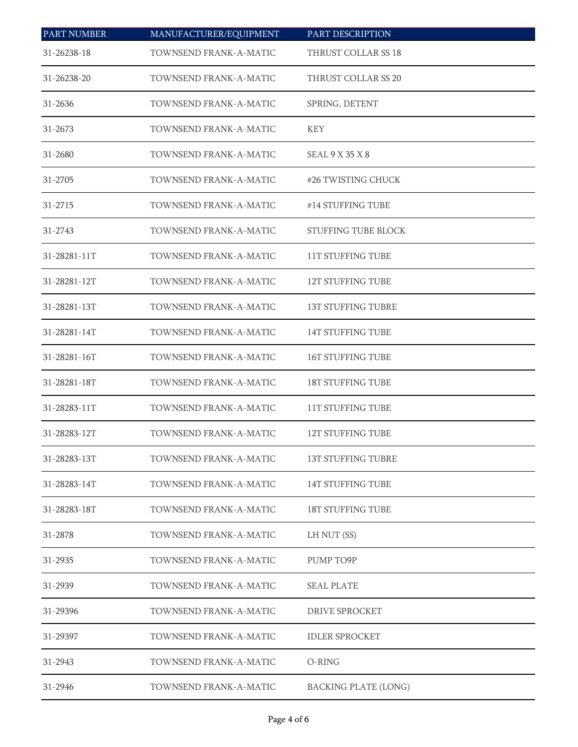| <b>PART NUMBER</b> | MANUFACTURER/EQUIPMENT | PART DESCRIPTION            |  |
|--------------------|------------------------|-----------------------------|--|
| 31-26238-18        | TOWNSEND FRANK-A-MATIC | THRUST COLLAR SS 18         |  |
| 31-26238-20        | TOWNSEND FRANK-A-MATIC | THRUST COLLAR SS 20         |  |
| 31-2636            | TOWNSEND FRANK-A-MATIC | SPRING, DETENT              |  |
| 31-2673            | TOWNSEND FRANK-A-MATIC | <b>KEY</b>                  |  |
| 31-2680            | TOWNSEND FRANK-A-MATIC | SEAL9X35X8                  |  |
| 31-2705            | TOWNSEND FRANK-A-MATIC | #26 TWISTING CHUCK          |  |
| 31-2715            | TOWNSEND FRANK-A-MATIC | #14 STUFFING TUBE           |  |
| 31-2743            | TOWNSEND FRANK-A-MATIC | STUFFING TUBE BLOCK         |  |
| 31-28281-11T       | TOWNSEND FRANK-A-MATIC | <b>11T STUFFING TUBE</b>    |  |
| 31-28281-12T       | TOWNSEND FRANK-A-MATIC | <b>12T STUFFING TUBE</b>    |  |
| 31-28281-13T       | TOWNSEND FRANK-A-MATIC | <b>13T STUFFING TUBRE</b>   |  |
| 31-28281-14T       | TOWNSEND FRANK-A-MATIC | 14T STUFFING TUBE           |  |
| 31-28281-16T       | TOWNSEND FRANK-A-MATIC | 16T STUFFING TUBE           |  |
| 31-28281-18T       | TOWNSEND FRANK-A-MATIC | 18T STUFFING TUBE           |  |
| 31-28283-11T       | TOWNSEND FRANK-A-MATIC | <b>11T STUFFING TUBE</b>    |  |
| 31-28283-12T       | TOWNSEND FRANK-A-MATIC | <b>12T STUFFING TUBE</b>    |  |
| 31-28283-13T       | TOWNSEND FRANK-A-MATIC | <b>13T STUFFING TUBRE</b>   |  |
| 31-28283-14T       | TOWNSEND FRANK-A-MATIC | <b>14T STUFFING TUBE</b>    |  |
| 31-28283-18T       | TOWNSEND FRANK-A-MATIC | <b>18T STUFFING TUBE</b>    |  |
| 31-2878            | TOWNSEND FRANK-A-MATIC | LH NUT (SS)                 |  |
| 31-2935            | TOWNSEND FRANK-A-MATIC | PUMP TO9P                   |  |
| 31-2939            | TOWNSEND FRANK-A-MATIC | <b>SEAL PLATE</b>           |  |
| 31-29396           | TOWNSEND FRANK-A-MATIC | <b>DRIVE SPROCKET</b>       |  |
| 31-29397           | TOWNSEND FRANK-A-MATIC | <b>IDLER SPROCKET</b>       |  |
| 31-2943            | TOWNSEND FRANK-A-MATIC | O-RING                      |  |
| 31-2946            | TOWNSEND FRANK-A-MATIC | <b>BACKING PLATE (LONG)</b> |  |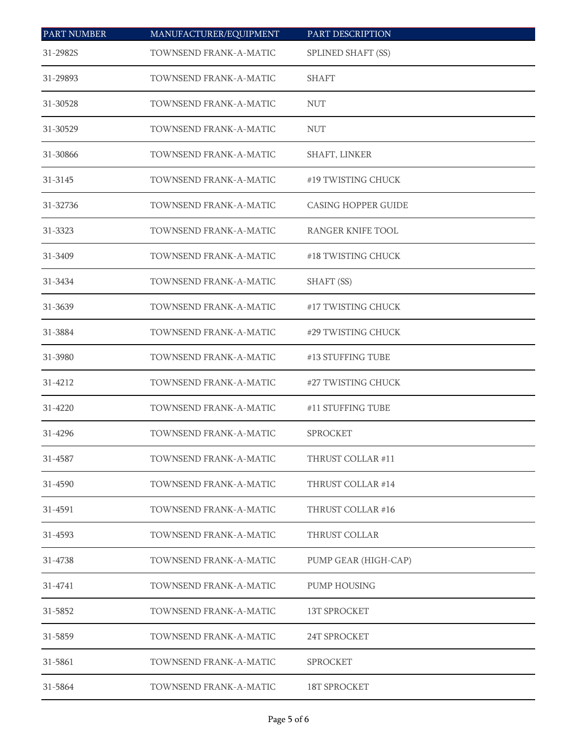| <b>PART NUMBER</b> | MANUFACTURER/EQUIPMENT | PART DESCRIPTION           |  |
|--------------------|------------------------|----------------------------|--|
| 31-2982S           | TOWNSEND FRANK-A-MATIC | SPLINED SHAFT (SS)         |  |
| 31-29893           | TOWNSEND FRANK-A-MATIC | <b>SHAFT</b>               |  |
| 31-30528           | TOWNSEND FRANK-A-MATIC | <b>NUT</b>                 |  |
| 31-30529           | TOWNSEND FRANK-A-MATIC | <b>NUT</b>                 |  |
| 31-30866           | TOWNSEND FRANK-A-MATIC | SHAFT, LINKER              |  |
| 31-3145            | TOWNSEND FRANK-A-MATIC | #19 TWISTING CHUCK         |  |
| 31-32736           | TOWNSEND FRANK-A-MATIC | <b>CASING HOPPER GUIDE</b> |  |
| 31-3323            | TOWNSEND FRANK-A-MATIC | RANGER KNIFE TOOL          |  |
| 31-3409            | TOWNSEND FRANK-A-MATIC | #18 TWISTING CHUCK         |  |
| 31-3434            | TOWNSEND FRANK-A-MATIC | SHAFT (SS)                 |  |
| 31-3639            | TOWNSEND FRANK-A-MATIC | #17 TWISTING CHUCK         |  |
| 31-3884            | TOWNSEND FRANK-A-MATIC | #29 TWISTING CHUCK         |  |
| 31-3980            | TOWNSEND FRANK-A-MATIC | #13 STUFFING TUBE          |  |
| 31-4212            | TOWNSEND FRANK-A-MATIC | #27 TWISTING CHUCK         |  |
| 31-4220            | TOWNSEND FRANK-A-MATIC | #11 STUFFING TUBE          |  |
| 31-4296            | TOWNSEND FRANK-A-MATIC | <b>SPROCKET</b>            |  |
| 31-4587            | TOWNSEND FRANK-A-MATIC | THRUST COLLAR#11           |  |
| 31-4590            | TOWNSEND FRANK-A-MATIC | THRUST COLLAR #14          |  |
| 31-4591            | TOWNSEND FRANK-A-MATIC | THRUST COLLAR #16          |  |
| 31-4593            | TOWNSEND FRANK-A-MATIC | THRUST COLLAR              |  |
| 31-4738            | TOWNSEND FRANK-A-MATIC | PUMP GEAR (HIGH-CAP)       |  |
| 31-4741            | TOWNSEND FRANK-A-MATIC | PUMP HOUSING               |  |
| 31-5852            | TOWNSEND FRANK-A-MATIC | 13T SPROCKET               |  |
| 31-5859            | TOWNSEND FRANK-A-MATIC | 24T SPROCKET               |  |
| 31-5861            | TOWNSEND FRANK-A-MATIC | <b>SPROCKET</b>            |  |
| 31-5864            | TOWNSEND FRANK-A-MATIC | 18T SPROCKET               |  |